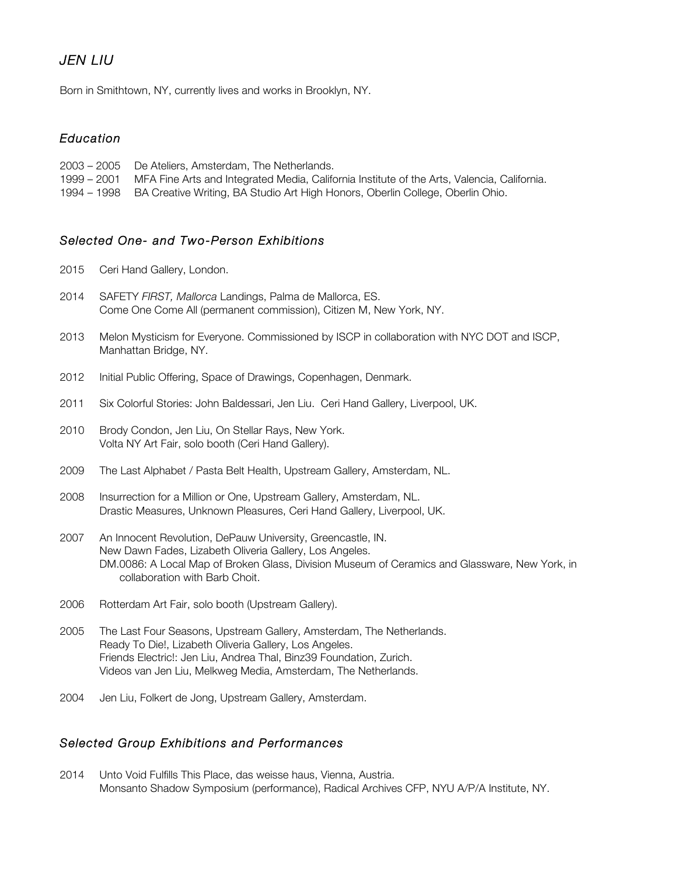# *JEN LIU*

Born in Smithtown, NY, currently lives and works in Brooklyn, NY.

### *Education*

| 2003 – 2005 De Ateliers, Amsterdam, The Netherlands.                                                    |
|---------------------------------------------------------------------------------------------------------|
| 1999 – 2001 MFA Fine Arts and Integrated Media, California Institute of the Arts, Valencia, California. |
| 1994 – 1998 BA Creative Writing, BA Studio Art High Honors, Oberlin College, Oberlin Ohio.              |

### *Selected One- and Two-Person Exhibitions*

- 2015 Ceri Hand Gallery, London.
- 2014 SAFETY *FIRST, Mallorca* Landings, Palma de Mallorca, ES. Come One Come All (permanent commission), Citizen M, New York, NY.
- 2013 Melon Mysticism for Everyone. Commissioned by ISCP in collaboration with NYC DOT and ISCP, Manhattan Bridge, NY.
- 2012 Initial Public Offering, Space of Drawings, Copenhagen, Denmark.
- 2011 Six Colorful Stories: John Baldessari, Jen Liu. Ceri Hand Gallery, Liverpool, UK.
- 2010 Brody Condon, Jen Liu, On Stellar Rays, New York. Volta NY Art Fair, solo booth (Ceri Hand Gallery).
- 2009 The Last Alphabet / Pasta Belt Health, Upstream Gallery, Amsterdam, NL.
- 2008 Insurrection for a Million or One, Upstream Gallery, Amsterdam, NL. Drastic Measures, Unknown Pleasures, Ceri Hand Gallery, Liverpool, UK.
- 2007 An Innocent Revolution, DePauw University, Greencastle, IN. New Dawn Fades, Lizabeth Oliveria Gallery, Los Angeles. DM.0086: A Local Map of Broken Glass, Division Museum of Ceramics and Glassware, New York, in collaboration with Barb Choit.
- 2006 Rotterdam Art Fair, solo booth (Upstream Gallery).
- 2005 The Last Four Seasons, Upstream Gallery, Amsterdam, The Netherlands. Ready To Die!, Lizabeth Oliveria Gallery, Los Angeles. Friends Electric!: Jen Liu, Andrea Thal, Binz39 Foundation, Zurich. Videos van Jen Liu, Melkweg Media, Amsterdam, The Netherlands.
- 2004 Jen Liu, Folkert de Jong, Upstream Gallery, Amsterdam.

### *Selected Group Exhibitions and Performances*

2014 Unto Void Fulfills This Place, das weisse haus, Vienna, Austria. Monsanto Shadow Symposium (performance), Radical Archives CFP, NYU A/P/A Institute, NY.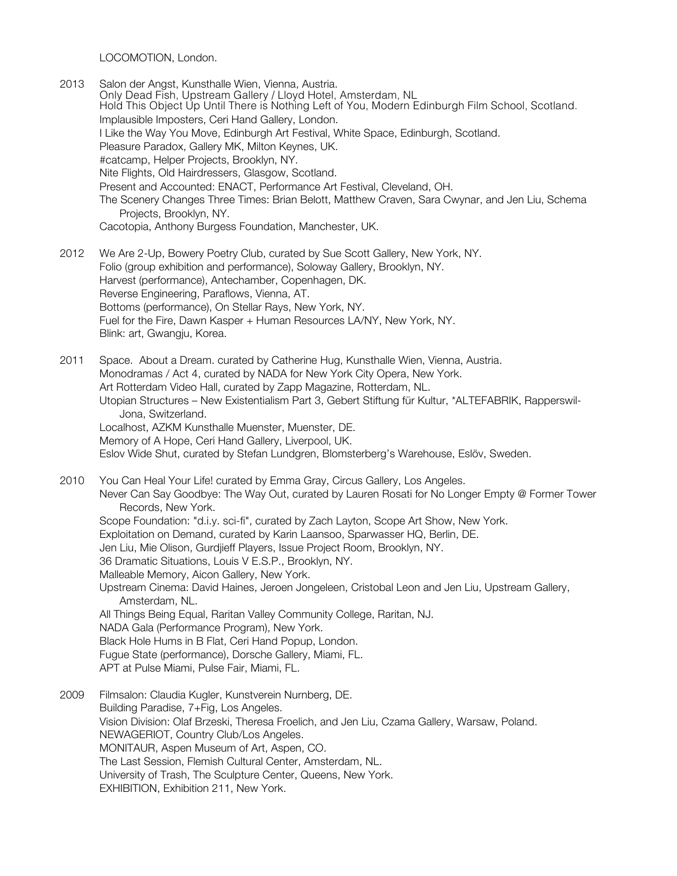LOCOMOTION, London.

- 2013 Salon der Angst, Kunsthalle Wien, Vienna, Austria. Only Dead Fish, Upstream Gallery / Lloyd Hotel, Amsterdam, NL Hold This Object Up Until There is Nothing Left of You, Modern Edinburgh Film School, Scotland. Implausible Imposters, Ceri Hand Gallery, London. I Like the Way You Move, Edinburgh Art Festival, White Space, Edinburgh, Scotland. Pleasure Paradox, Gallery MK, Milton Keynes, UK. #catcamp, Helper Projects, Brooklyn, NY. Nite Flights, Old Hairdressers, Glasgow, Scotland. Present and Accounted: ENACT, Performance Art Festival, Cleveland, OH. The Scenery Changes Three Times: Brian Belott, Matthew Craven, Sara Cwynar, and Jen Liu, Schema Projects, Brooklyn, NY. Cacotopia, Anthony Burgess Foundation, Manchester, UK.
- 2012 We Are 2-Up, Bowery Poetry Club, curated by Sue Scott Gallery, New York, NY. Folio (group exhibition and performance), Soloway Gallery, Brooklyn, NY. Harvest (performance), Antechamber, Copenhagen, DK. Reverse Engineering, Paraflows, Vienna, AT. Bottoms (performance), On Stellar Rays, New York, NY. Fuel for the Fire, Dawn Kasper + Human Resources LA/NY, New York, NY. Blink: art, Gwangju, Korea.
- 2011 Space. About a Dream. curated by Catherine Hug, Kunsthalle Wien, Vienna, Austria. Monodramas / Act 4, curated by NADA for New York City Opera, New York. Art Rotterdam Video Hall, curated by Zapp Magazine, Rotterdam, NL. Utopian Structures – New Existentialism Part 3, Gebert Stiftung für Kultur, \*ALTEFABRIK, Rapperswil-Jona, Switzerland. Localhost, AZKM Kunsthalle Muenster, Muenster, DE. Memory of A Hope, Ceri Hand Gallery, Liverpool, UK. Eslov Wide Shut, curated by Stefan Lundgren, Blomsterberg's Warehouse, Eslöv, Sweden.
- 2010 You Can Heal Your Life! curated by Emma Gray, Circus Gallery, Los Angeles. Never Can Say Goodbye: The Way Out, curated by Lauren Rosati for No Longer Empty @ Former Tower Records, New York. Scope Foundation: "d.i.y. sci-fi", curated by Zach Layton, Scope Art Show, New York. Exploitation on Demand, curated by Karin Laansoo, Sparwasser HQ, Berlin, DE. Jen Liu, Mie Olison, Gurdjieff Players, Issue Project Room, Brooklyn, NY. 36 Dramatic Situations, Louis V E.S.P., Brooklyn, NY. Malleable Memory, Aicon Gallery, New York. Upstream Cinema: David Haines, Jeroen Jongeleen, Cristobal Leon and Jen Liu, Upstream Gallery, Amsterdam, NL. All Things Being Equal, Raritan Valley Community College, Raritan, NJ. NADA Gala (Performance Program), New York. Black Hole Hums in B Flat, Ceri Hand Popup, London. Fugue State (performance), Dorsche Gallery, Miami, FL. APT at Pulse Miami, Pulse Fair, Miami, FL. 2009 Filmsalon: Claudia Kugler, Kunstverein Nurnberg, DE.
- Building Paradise, 7+Fig, Los Angeles. Vision Division: Olaf Brzeski, Theresa Froelich, and Jen Liu, Czama Gallery, Warsaw, Poland. NEWAGERIOT, Country Club/Los Angeles. MONITAUR, Aspen Museum of Art, Aspen, CO. The Last Session, Flemish Cultural Center, Amsterdam, NL. University of Trash, The Sculpture Center, Queens, New York. EXHIBITION, Exhibition 211, New York.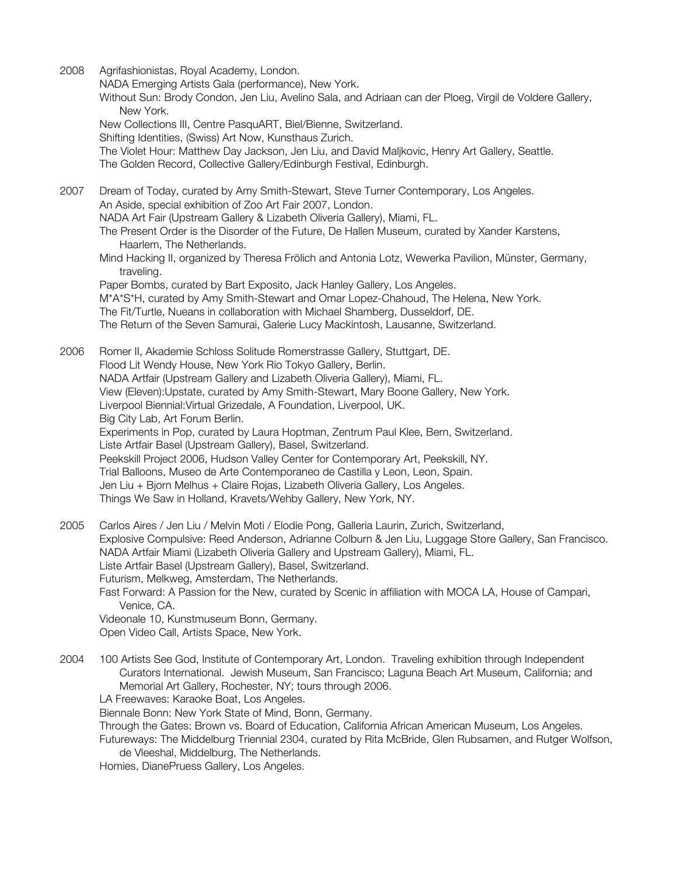2008 Agrifashionistas, Royal Academy, London.

NADA Emerging Artists Gala (performance), New York.

Without Sun: Brody Condon, Jen Liu, Avelino Sala, and Adriaan can der Ploeg, Virgil de Voldere Gallery, New York.

New Collections III, Centre PasquART, Biel/Bienne, Switzerland.

Shifting Identities, (Swiss) Art Now, Kunsthaus Zurich.

The Violet Hour: Matthew Day Jackson, Jen Liu, and David Maljkovic, Henry Art Gallery, Seattle. The Golden Record, Collective Gallery/Edinburgh Festival, Edinburgh.

2007 Dream of Today, curated by Amy Smith-Stewart, Steve Turner Contemporary, Los Angeles. An Aside, special exhibition of Zoo Art Fair 2007, London. NADA Art Fair (Upstream Gallery & Lizabeth Oliveria Gallery), Miami, FL. The Present Order is the Disorder of the Future, De Hallen Museum, curated by Xander Karstens, Haarlem, The Netherlands. Mind Hacking II, organized by Theresa Frölich and Antonia Lotz, Wewerka Pavilion, Münster, Germany, traveling.

Paper Bombs, curated by Bart Exposito, Jack Hanley Gallery, Los Angeles. M\*A\*S\*H, curated by Amy Smith-Stewart and Omar Lopez-Chahoud, The Helena, New York. The Fit/Turtle, Nueans in collaboration with Michael Shamberg, Dusseldorf, DE. The Return of the Seven Samurai, Galerie Lucy Mackintosh, Lausanne, Switzerland.

2006 Romer II, Akademie Schloss Solitude Romerstrasse Gallery, Stuttgart, DE. Flood Lit Wendy House, New York Rio Tokyo Gallery, Berlin. NADA Artfair (Upstream Gallery and Lizabeth Oliveria Gallery), Miami, FL. View (Eleven):Upstate, curated by Amy Smith-Stewart, Mary Boone Gallery, New York. Liverpool Biennial:Virtual Grizedale, A Foundation, Liverpool, UK. Big City Lab, Art Forum Berlin. Experiments in Pop, curated by Laura Hoptman, Zentrum Paul Klee, Bern, Switzerland. Liste Artfair Basel (Upstream Gallery), Basel, Switzerland. Peekskill Project 2006, Hudson Valley Center for Contemporary Art, Peekskill, NY. Trial Balloons, Museo de Arte Contemporaneo de Castilla y Leon, Leon, Spain. Jen Liu + Bjorn Melhus + Claire Rojas, Lizabeth Oliveria Gallery, Los Angeles. Things We Saw in Holland, Kravets/Wehby Gallery, New York, NY.

- 2005 Carlos Aires / Jen Liu / Melvin Moti / Elodie Pong, Galleria Laurin, Zurich, Switzerland, Explosive Compulsive: Reed Anderson, Adrianne Colburn & Jen Liu, Luggage Store Gallery, San Francisco. NADA Artfair Miami (Lizabeth Oliveria Gallery and Upstream Gallery), Miami, FL. Liste Artfair Basel (Upstream Gallery), Basel, Switzerland. Futurism, Melkweg, Amsterdam, The Netherlands. Fast Forward: A Passion for the New, curated by Scenic in affiliation with MOCA LA, House of Campari, Venice, CA. Videonale 10, Kunstmuseum Bonn, Germany. Open Video Call, Artists Space, New York.
- 2004 100 Artists See God, Institute of Contemporary Art, London. Traveling exhibition through Independent Curators International. Jewish Museum, San Francisco; Laguna Beach Art Museum, California; and Memorial Art Gallery, Rochester, NY; tours through 2006.

LA Freewaves: Karaoke Boat, Los Angeles.

Biennale Bonn: New York State of Mind, Bonn, Germany.

Through the Gates: Brown vs. Board of Education, California African American Museum, Los Angeles.

Futureways: The Middelburg Triennial 2304, curated by Rita McBride, Glen Rubsamen, and Rutger Wolfson, de Vleeshal, Middelburg, The Netherlands.

Homies, DianePruess Gallery, Los Angeles.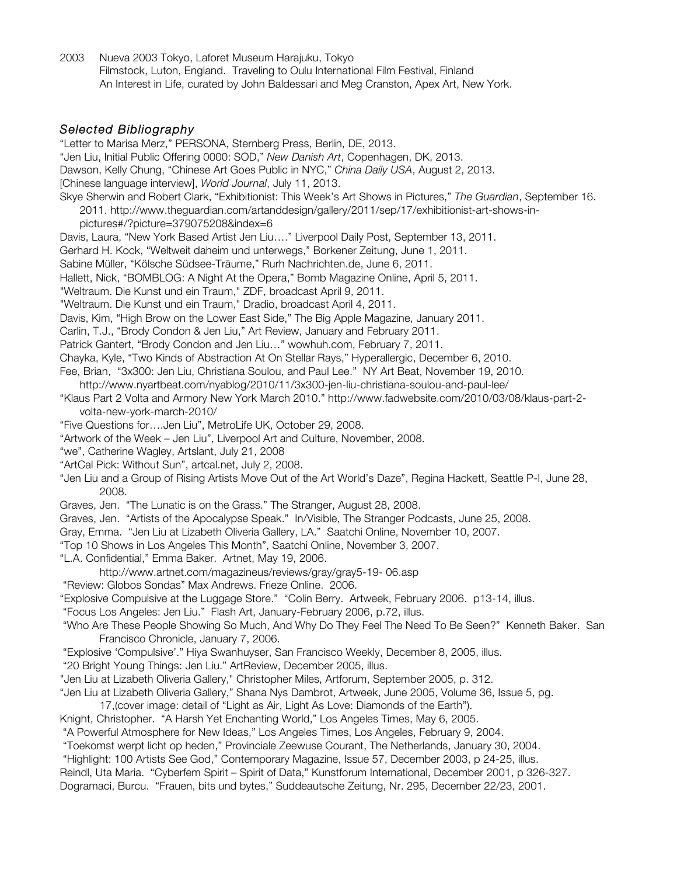2003 Nueva 2003 Tokyo, Laforet Museum Harajuku, Tokyo Filmstock, Luton, England. Traveling to Oulu International Film Festival, Finland An Interest in Life, curated by John Baldessari and Meg Cranston, Apex Art, New York.

"Letter to Marisa Merz," PERSONA, Sternberg Press, Berlin, DE, 2013.

#### *Selected Bibliography*

"Jen Liu, Initial Public Offering 0000: SOD," *New Danish Art*, Copenhagen, DK, 2013. Dawson, Kelly Chung, "Chinese Art Goes Public in NYC," *China Daily USA*, August 2, 2013. [Chinese language interview], *World Journal*, July 11, 2013. Skye Sherwin and Robert Clark, "Exhibitionist: This Week's Art Shows in Pictures," *The Guardian*, September 16. 2011. http://www.theguardian.com/artanddesign/gallery/2011/sep/17/exhibitionist-art-shows-inpictures#/?picture=379075208&index=6 Davis, Laura, "New York Based Artist Jen Liu…." Liverpool Daily Post, September 13, 2011. Gerhard H. Kock, "Weltweit daheim und unterwegs," Borkener Zeitung, June 1, 2011. Sabine Müller, "Kölsche Südsee-Träume," Rurh Nachrichten.de, June 6, 2011. Hallett, Nick, "BOMBLOG: A Night At the Opera," Bomb Magazine Online, April 5, 2011. "Weltraum. Die Kunst und ein Traum," ZDF, broadcast April 9, 2011. "Weltraum. Die Kunst und ein Traum," Dradio, broadcast April 4, 2011. Davis, Kim, "High Brow on the Lower East Side," The Big Apple Magazine, January 2011. Carlin, T.J., "Brody Condon & Jen Liu," Art Review, January and February 2011. Patrick Gantert, "Brody Condon and Jen Liu…" wowhuh.com, February 7, 2011. Chayka, Kyle, "Two Kinds of Abstraction At On Stellar Rays," Hyperallergic, December 6, 2010. Fee, Brian, "3x300: Jen Liu, Christiana Soulou, and Paul Lee." NY Art Beat, November 19, 2010. http://www.nyartbeat.com/nyablog/2010/11/3x300-jen-liu-christiana-soulou-and-paul-lee/ "Klaus Part 2 Volta and Armory New York March 2010." http://www.fadwebsite.com/2010/03/08/klaus-part-2 volta-new-york-march-2010/ "Five Questions for….Jen Liu", MetroLife UK, October 29, 2008. "Artwork of the Week – Jen Liu", Liverpool Art and Culture, November, 2008. "we", Catherine Wagley, Artslant, July 21, 2008 "ArtCal Pick: Without Sun", artcal.net, July 2, 2008. "Jen Liu and a Group of Rising Artists Move Out of the Art World's Daze", Regina Hackett, Seattle P-I, June 28, 2008. Graves, Jen. "The Lunatic is on the Grass." The Stranger, August 28, 2008. Graves, Jen. "Artists of the Apocalypse Speak." In/Visible, The Stranger Podcasts, June 25, 2008. Gray, Emma. "Jen Liu at Lizabeth Oliveria Gallery, LA." Saatchi Online, November 10, 2007. "Top 10 Shows in Los Angeles This Month", Saatchi Online, November 3, 2007. "L.A. Confidential," Emma Baker. Artnet, May 19, 2006. http://www.artnet.com/magazineus/reviews/gray/gray5-19- 06.asp "Review: Globos Sondas" Max Andrews. Frieze Online. 2006. "Explosive Compulsive at the Luggage Store." "Colin Berry. Artweek, February 2006. p13-14, illus. "Focus Los Angeles: Jen Liu." Flash Art, January-February 2006, p.72, illus. "Who Are These People Showing So Much, And Why Do They Feel The Need To Be Seen?" Kenneth Baker. San Francisco Chronicle, January 7, 2006. "Explosive 'Compulsive'." Hiya Swanhuyser, San Francisco Weekly, December 8, 2005, illus. "20 Bright Young Things: Jen Liu." ArtReview, December 2005, illus. "Jen Liu at Lizabeth Oliveria Gallery," Christopher Miles, Artforum, September 2005, p. 312. "Jen Liu at Lizabeth Oliveria Gallery," Shana Nys Dambrot, Artweek, June 2005, Volume 36, Issue 5, pg. 17,(cover image: detail of "Light as Air, Light As Love: Diamonds of the Earth"). Knight, Christopher. "A Harsh Yet Enchanting World," Los Angeles Times, May 6, 2005. "A Powerful Atmosphere for New Ideas," Los Angeles Times, Los Angeles, February 9, 2004. "Toekomst werpt licht op heden," Provinciale Zeewuse Courant, The Netherlands, January 30, 2004. "Highlight: 100 Artists See God," Contemporary Magazine, Issue 57, December 2003, p 24-25, illus. Reindl, Uta Maria. "Cyberfem Spirit – Spirit of Data," Kunstforum International, December 2001, p 326-327. Dogramaci, Burcu. "Frauen, bits und bytes," Suddeautsche Zeitung, Nr. 295, December 22/23, 2001.